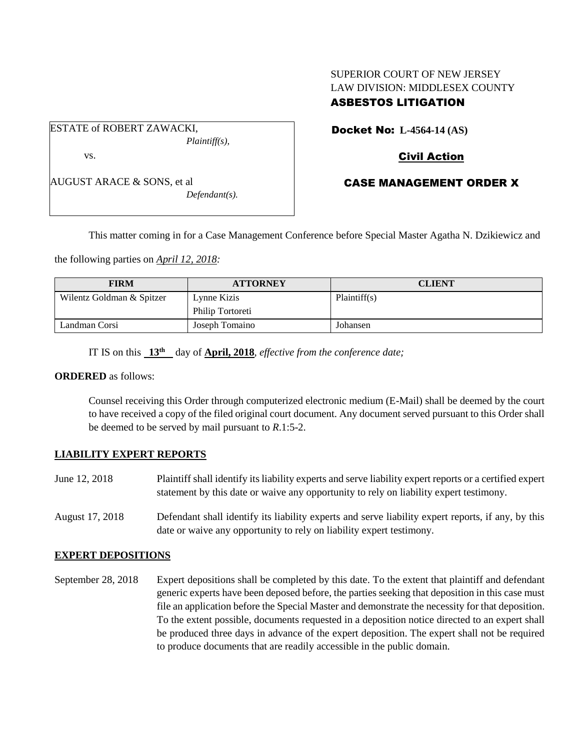## SUPERIOR COURT OF NEW JERSEY LAW DIVISION: MIDDLESEX COUNTY ASBESTOS LITIGATION

ESTATE of ROBERT ZAWACKI, *Plaintiff(s),* vs.

AUGUST ARACE & SONS, et al

*Defendant(s).*

Docket No: **L-4564-14 (AS)** 

## Civil Action

## CASE MANAGEMENT ORDER X

This matter coming in for a Case Management Conference before Special Master Agatha N. Dzikiewicz and

the following parties on *April 12, 2018:*

| <b>FIRM</b>               | <b>ATTORNEY</b>  | <b>CLIENT</b> |
|---------------------------|------------------|---------------|
| Wilentz Goldman & Spitzer | Lynne Kizis      | Plaintiff(s)  |
|                           | Philip Tortoreti |               |
| Landman Corsi             | Joseph Tomaino   | Johansen      |

IT IS on this **13th** day of **April, 2018**, *effective from the conference date;*

#### **ORDERED** as follows:

Counsel receiving this Order through computerized electronic medium (E-Mail) shall be deemed by the court to have received a copy of the filed original court document. Any document served pursuant to this Order shall be deemed to be served by mail pursuant to *R*.1:5-2.

### **LIABILITY EXPERT REPORTS**

- June 12, 2018 Plaintiff shall identify its liability experts and serve liability expert reports or a certified expert statement by this date or waive any opportunity to rely on liability expert testimony.
- August 17, 2018 Defendant shall identify its liability experts and serve liability expert reports, if any, by this date or waive any opportunity to rely on liability expert testimony.

### **EXPERT DEPOSITIONS**

September 28, 2018 Expert depositions shall be completed by this date. To the extent that plaintiff and defendant generic experts have been deposed before, the parties seeking that deposition in this case must file an application before the Special Master and demonstrate the necessity for that deposition. To the extent possible, documents requested in a deposition notice directed to an expert shall be produced three days in advance of the expert deposition. The expert shall not be required to produce documents that are readily accessible in the public domain.